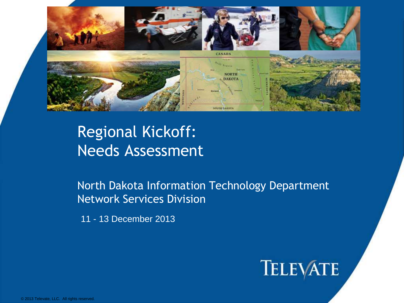

## Regional Kickoff: Needs Assessment

North Dakota Information Technology Department Network Services Division

11 - 13 December 2013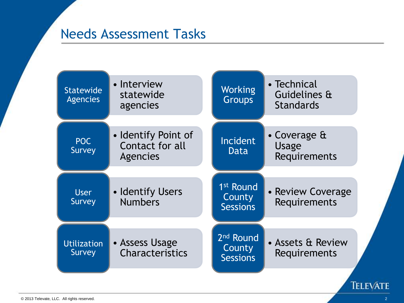#### Needs Assessment Tasks

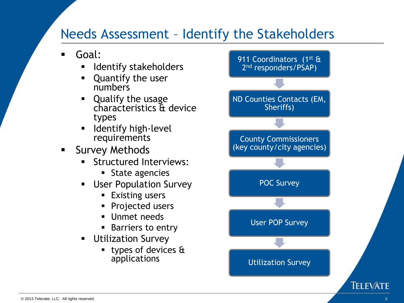#### Needs Assessment – Identify the Stakeholders

- Goal:
	- Identify stakeholders
	- Quantify the user numbers
	- Qualify the usage characteristics & device types
	- $\blacksquare$  Identify high-level requirements
- **Survey Methods** 
	- Structured Interviews:
		- **State agencies**
	- User Population Survey
		- **Existing users**
		- **Projected users**
		- **Unmet needs**
		- **Barriers to entry**
	- **Utilization Survey** 
		- types of devices  $\mathbf{\hat{a}}$ applications

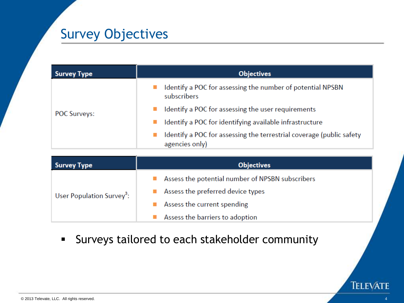### Survey Objectives

| <b>Survey Type</b>  | <b>Objectives</b>                                                                      |  |
|---------------------|----------------------------------------------------------------------------------------|--|
|                     | Identify a POC for assessing the number of potential NPSBN<br>subscribers              |  |
| <b>POC Surveys:</b> | Identify a POC for assessing the user requirements                                     |  |
|                     | Identify a POC for identifying available infrastructure                                |  |
|                     | Identify a POC for assessing the terrestrial coverage (public safety<br>agencies only) |  |

| Survey Type                           | <b>Objectives</b>                                |  |
|---------------------------------------|--------------------------------------------------|--|
|                                       | Assess the potential number of NPSBN subscribers |  |
| User Population Survey <sup>3</sup> : | Assess the preferred device types                |  |
|                                       | Assess the current spending                      |  |
|                                       | Assess the barriers to adoption                  |  |

Surveys tailored to each stakeholder community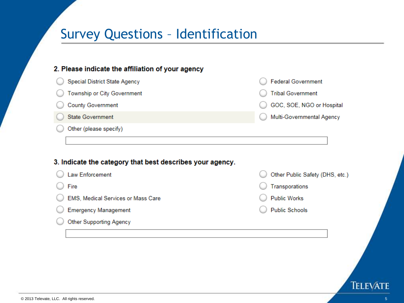### Survey Questions – Identification

| <b>Special District State Agency</b>                      | <b>Federal Government</b>       |
|-----------------------------------------------------------|---------------------------------|
| Township or City Government                               | <b>Tribal Government</b>        |
| <b>County Government</b>                                  | GOC, SOE, NGO or Hospital       |
| <b>State Government</b>                                   | Multi-Governmental Agency       |
|                                                           |                                 |
| Other (please specify)                                    |                                 |
|                                                           |                                 |
| 3. Indicate the category that best describes your agency. |                                 |
| Law Enforcement                                           | Other Public Safety (DHS, etc.) |
| Fire                                                      | Transporations                  |
| EMS, Medical Services or Mass Care                        | <b>Public Works</b>             |
| <b>Emergency Management</b>                               | <b>Public Schools</b>           |
| <b>Other Supporting Agency</b>                            |                                 |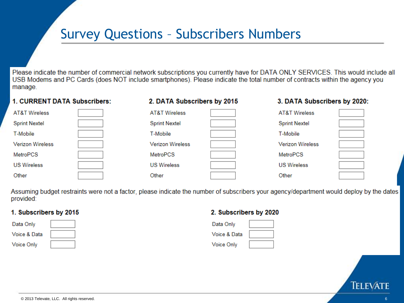#### Survey Questions – Subscribers Numbers

Please indicate the number of commercial network subscriptions you currently have for DATA ONLY SERVICES. This would include all USB Modems and PC Cards (does NOT include smartphones). Please indicate the total number of contracts within the agency you manage.

#### 1. CURRENT DATA Subscribers:

#### 2. DATA Subscribers by 2015

#### 3. DATA Subscribers by 2020:

| <b>AT&amp;T Wireless</b> | <b>AT&amp;T Wireless</b> | AT&T Wireless           |  |
|--------------------------|--------------------------|-------------------------|--|
| <b>Sprint Nextel</b>     | <b>Sprint Nextel</b>     | <b>Sprint Nextel</b>    |  |
| T-Mobile                 | T-Mobile                 | T-Mobile                |  |
| <b>Verizon Wireless</b>  | <b>Verizon Wireless</b>  | <b>Verizon Wireless</b> |  |
| MetroPCS                 | MetroPCS                 | MetroPCS                |  |
| <b>US Wireless</b>       | <b>US Wireless</b>       | <b>US Wireless</b>      |  |
| Other                    | Other                    | Other                   |  |

Assuming budget restraints were not a factor, please indicate the number of subscribers your agency/department would deploy by the dates provided:

#### 1. Subscribers by 2015

| Data Only         |  |
|-------------------|--|
| Voice & Data      |  |
| <b>Voice Only</b> |  |

#### 2. Subscribers by 2020

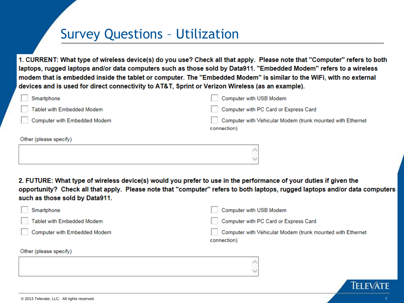### Survey Questions – Utilization

1. CURRENT: What type of wireless device(s) do you use? Check all that apply. Please note that "Computer" refers to both laptops, rugged laptops and/or data computers such as those sold by Data911. "Embedded Modem" refers to a wireless modem that is embedded inside the tablet or computer. The "Embedded Modem" is similar to the WiFi, with no external devices and is used for direct connectivity to AT&T, Sprint or Verizon Wireless (as an example).

| Smartphone                   | Computer with USB Modem                                                   |
|------------------------------|---------------------------------------------------------------------------|
| Tablet with Embedded Modem   | Computer with PC Card or Express Card                                     |
| Computer with Embedded Modem | Computer with Vehicular Modem (trunk mounted with Ethernet<br>connection) |
| Other (please specify)       |                                                                           |
|                              |                                                                           |

2. FUTURE: What type of wireless device(s) would you prefer to use in the performance of your duties if given the opportunity? Check all that apply. Please note that "computer" refers to both laptops, rugged laptops and/or data computers such as those sold by Data911.

| Smartphone                   | Computer with USB Modem                                                   |
|------------------------------|---------------------------------------------------------------------------|
| Tablet with Embedded Modem   | Computer with PC Card or Express Card                                     |
| Computer with Embedded Modem | Computer with Vehicular Modem (trunk mounted with Ethernet<br>connection) |
| Other (please specify)       |                                                                           |
|                              | ◡                                                                         |

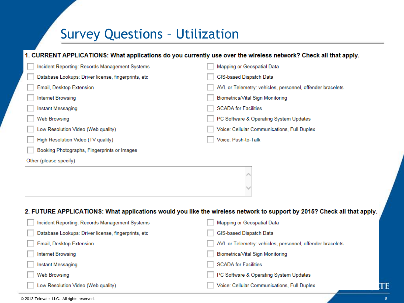#### Survey Questions – Utilization

#### 1. CURRENT APPLICATIONS: What applications do you currently use over the wireless network? Check all that apply.

| Incident Reporting: Records Management Systems      | Mapping or Geospatial Data                                                                                              |
|-----------------------------------------------------|-------------------------------------------------------------------------------------------------------------------------|
| Database Lookups: Driver license, fingerprints, etc | GIS-based Dispatch Data                                                                                                 |
| Email, Desktop Extension                            | AVL or Telemetry: vehicles, personnel, offender bracelets                                                               |
| Internet Browsing                                   | Biometrics/Vital Sign Monitoring                                                                                        |
| Instant Messaging                                   | <b>SCADA</b> for Facilities                                                                                             |
| <b>Web Browsing</b>                                 | PC Software & Operating System Updates                                                                                  |
| Low Resolution Video (Web quality)                  | Voice: Cellular Communications, Full Duplex                                                                             |
| High Resolution Video (TV quality)                  | Voice: Push-to-Talk                                                                                                     |
| Booking Photographs, Fingerprints or Images         |                                                                                                                         |
| Other (please specify)                              |                                                                                                                         |
|                                                     |                                                                                                                         |
|                                                     |                                                                                                                         |
|                                                     |                                                                                                                         |
|                                                     |                                                                                                                         |
|                                                     | 2. FUTURE APPLICATIONS: What applications would you like the wireless network to support by 2015? Check all that apply. |
| Incident Reporting: Records Management Systems      | Mapping or Geospatial Data                                                                                              |
| Database Lookups: Driver license, fingerprints, etc | GIS-based Dispatch Data                                                                                                 |
| Email, Desktop Extension                            | AVL or Telemetry: vehicles, personnel, offender bracelets                                                               |
| <b>Internet Browsing</b>                            | Biometrics/Vital Sign Monitoring                                                                                        |
| Instant Messaging                                   | <b>SCADA for Facilities</b>                                                                                             |
| <b>Web Browsing</b>                                 | PC Software & Operating System Updates                                                                                  |

Voice: Cellular Communications, Full Duplex

© 2013 Televate, LLC. All rights reserved.

TE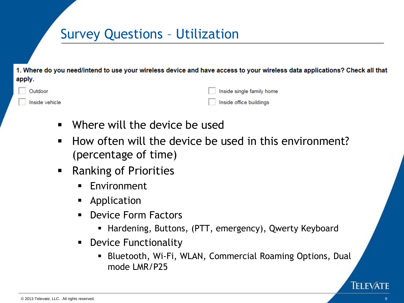### Survey Questions – Utilization

1. Where do you need/intend to use your wireless device and have access to your wireless data applications? Check all that apply.

| Outdoor        | Inside single family home |
|----------------|---------------------------|
| Inside vehicle | Inside office buildings   |

- Where will the device be used
- $\blacksquare$  How often will the device be used in this environment? (percentage of time)
- **Ranking of Priorities** 
	- **Environment**
	- **Application**
	- **Device Form Factors** 
		- Hardening, Buttons, (PTT, emergency), Qwerty Keyboard
	- **•** Device Functionality
		- Bluetooth, Wi-Fi, WLAN, Commercial Roaming Options, Dual mode LMR/P25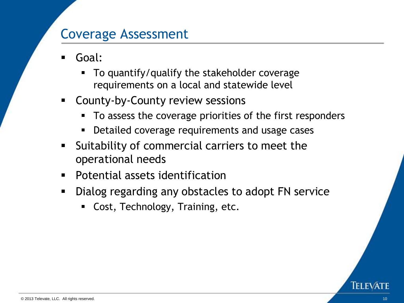#### Coverage Assessment

- Goal:
	- To quantify/qualify the stakeholder coverage requirements on a local and statewide level
- **EX County-by-County review sessions** 
	- To assess the coverage priorities of the first responders
	- Detailed coverage requirements and usage cases
- **Suitability of commercial carriers to meet the** operational needs
- **Potential assets identification**
- Dialog regarding any obstacles to adopt FN service
	- **Cost, Technology, Training, etc.**

TELEVA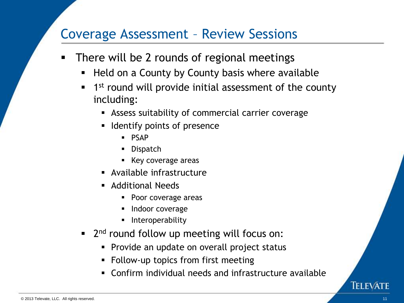#### Coverage Assessment – Review Sessions

- **There will be 2 rounds of regional meetings** 
	- **Held on a County by County basis where available**
	- **1** 1<sup>st</sup> round will provide initial assessment of the county including:
		- Assess suitability of commercial carrier coverage
		- **If** Identify points of presence
			- **PSAP**
			- **Dispatch**
			- **Key coverage areas**
		- Available infrastructure
		- **Additional Needs** 
			- Poor coverage areas
			- Indoor coverage
			- Interoperability
	- **2**<sup>nd</sup> round follow up meeting will focus on:
		- **Provide an update on overall project status**
		- Follow-up topics from first meeting
		- Confirm individual needs and infrastructure available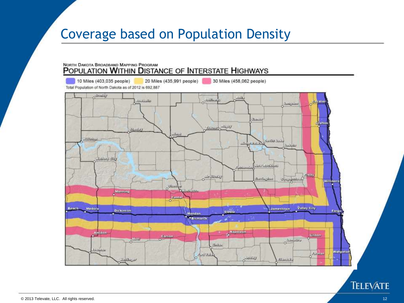### Coverage based on Population Density

#### NORTH DAKOTA BROADBAND MAPPING PROGRAM POPULATION WITHIN DISTANCE OF INTERSTATE HIGHWAYS

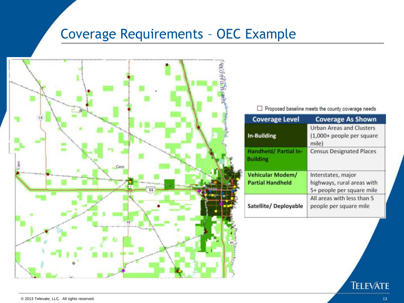### Coverage Requirements – OEC Example



□ Proposed baseline meets the county coverage needs

| <b>Coverage Level</b>                              | <b>Coverage As Shown</b>                                                      |
|----------------------------------------------------|-------------------------------------------------------------------------------|
| In-Building                                        | <b>Urban Areas and Clusters</b><br>(1,000+ people per square<br>mile)         |
| Handheld/ Partial In-<br><b>Building</b>           | <b>Census Designated Places</b>                                               |
| <b>Vehicular Modem/</b><br><b>Partial Handheld</b> | Interstates, major<br>highways, rural areas with<br>5+ people per square mile |
| Satellite/Deployable                               | All areas with less than 5<br>people per square mile                          |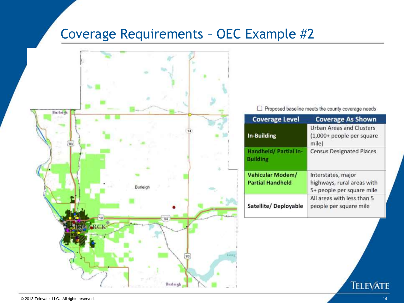### Coverage Requirements – OEC Example #2



□ Proposed baseline meets the county coverage needs

| <b>Coverage Level</b>                              | <b>Coverage As Shown</b>                                                      |
|----------------------------------------------------|-------------------------------------------------------------------------------|
| In-Building                                        | <b>Urban Areas and Clusters</b><br>(1,000+ people per square<br>mile)         |
| Handheld/ Partial In-<br><b>Building</b>           | <b>Census Designated Places</b>                                               |
| <b>Vehicular Modem/</b><br><b>Partial Handheld</b> | Interstates, major<br>highways, rural areas with<br>5+ people per square mile |
| Satellite/Deployable                               | All areas with less than 5<br>people per square mile                          |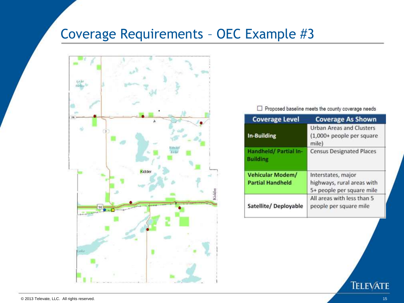### Coverage Requirements – OEC Example #3



□ Proposed baseline meets the county coverage needs

| <b>Coverage Level</b>                              | <b>Coverage As Shown</b>                                                      |
|----------------------------------------------------|-------------------------------------------------------------------------------|
| In-Building                                        | <b>Urban Areas and Clusters</b><br>(1,000+ people per square<br>mile)         |
| Handheld/ Partial In-<br><b>Building</b>           | <b>Census Designated Places</b>                                               |
| <b>Vehicular Modem/</b><br><b>Partial Handheld</b> | Interstates, major<br>highways, rural areas with<br>5+ people per square mile |
| Satellite/Deployable                               | All areas with less than 5<br>people per square mile                          |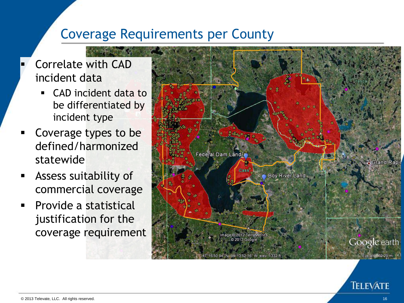#### Coverage Requirements per County

#### Correlate with CAD incident data

- CAD incident data to be differentiated by incident type
- Coverage types to be defined/harmonized statewide
- Assess suitability of commercial coverage
- Provide a statistical justification for the coverage requirement

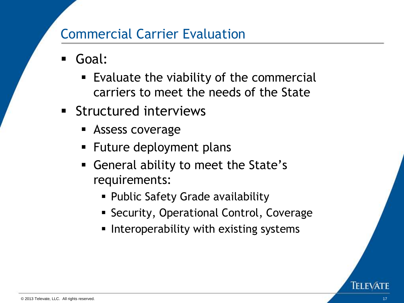#### Commercial Carrier Evaluation

- Goal:
	- Evaluate the viability of the commercial carriers to meet the needs of the State
- **Structured interviews** 
	- **Assess coverage**
	- **Future deployment plans**
	- General ability to meet the State's requirements:
		- Public Safety Grade availability
		- **Security, Operational Control, Coverage**
		- Interoperability with existing systems

TELEVA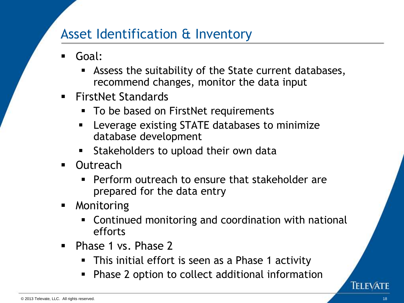### Asset Identification & Inventory

- Goal:
	- Assess the suitability of the State current databases, recommend changes, monitor the data input
- FirstNet Standards
	- To be based on FirstNet requirements
	- Leverage existing STATE databases to minimize database development
	- **Stakeholders to upload their own data**
- Outreach
	- **Perform outreach to ensure that stakeholder are** prepared for the data entry
- **Monitoring** 
	- Continued monitoring and coordination with national efforts
- Phase 1 vs. Phase 2
	- This initial effort is seen as a Phase 1 activity
	- Phase 2 option to collect additional information